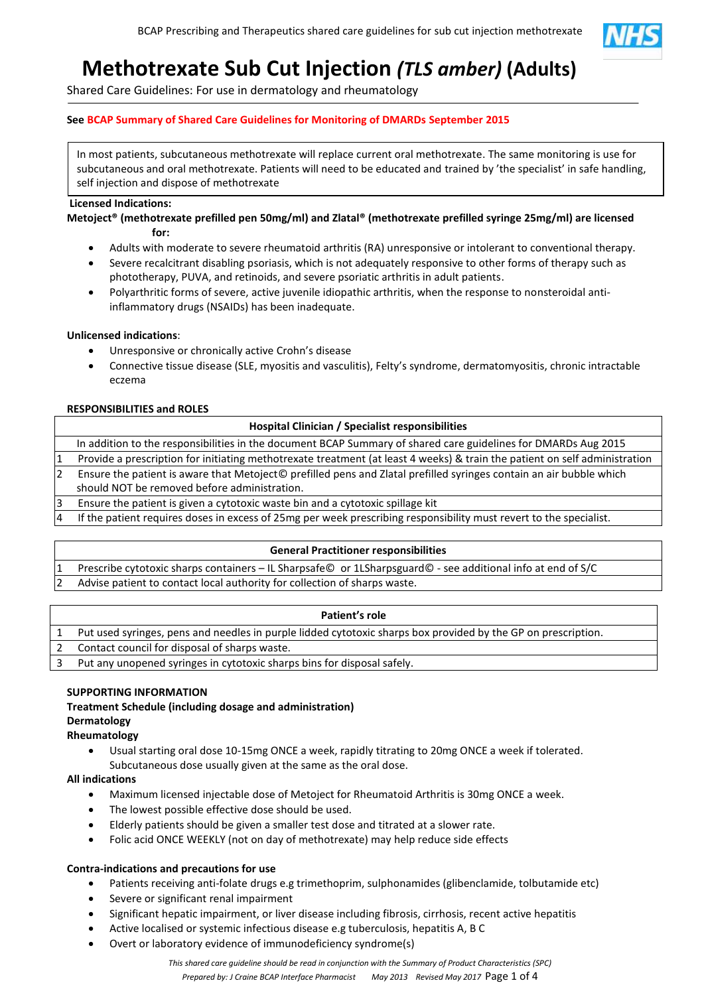

# **Methotrexate Sub Cut Injection** *(TLS amber)* **(Adults)**

Shared Care Guidelines: For use in dermatology and rheumatology

# **See BCAP Summary of Shared Care Guidelines for Monitoring of DMARDs September 2015**

In most patients, subcutaneous methotrexate will replace current oral methotrexate. The same monitoring is use for subcutaneous and oral methotrexate. Patients will need to be educated and trained by 'the specialist' in safe handling, self injection and dispose of methotrexate

# **Licensed Indications:**

**Metoject® (methotrexate prefilled pen 50mg/ml) and Zlatal® (methotrexate prefilled syringe 25mg/ml) are licensed for:**

- Adults with moderate to severe rheumatoid arthritis (RA) unresponsive or intolerant to conventional therapy.
- Severe recalcitrant disabling psoriasis, which is not adequately responsive to other forms of therapy such as phototherapy, PUVA, and retinoids, and severe psoriatic arthritis in adult patients.
- Polyarthritic forms of severe, active juvenile idiopathic arthritis, when the response to nonsteroidal antiinflammatory drugs (NSAIDs) has been inadequate.

# **Unlicensed indications**:

- Unresponsive or chronically active Crohn's disease
- Connective tissue disease (SLE, myositis and vasculitis), Felty's syndrome, dermatomyositis, chronic intractable eczema

# **RESPONSIBILITIES and ROLES**

# **Hospital Clinician / Specialist responsibilities**

In addition to the responsibilities in the document BCAP Summary of shared care guidelines for DMARDs Aug 2015 Provide a prescription for initiating methotrexate treatment (at least 4 weeks) & train the patient on self administration 2 Ensure the patient is aware that Metoject© prefilled pens and Zlatal prefilled syringes contain an air bubble which

should NOT be removed before administration.

3 Ensure the patient is given a cytotoxic waste bin and a cytotoxic spillage kit

4 If the patient requires doses in excess of 25mg per week prescribing responsibility must revert to the specialist.

#### **General Practitioner responsibilities**

1 Prescribe cytotoxic sharps containers – IL Sharpsafe© or 1LSharpsguard© - see additional info at end of S/C Advise patient to contact local authority for collection of sharps waste.

| Patient's role                                                                                                |
|---------------------------------------------------------------------------------------------------------------|
| Put used syringes, pens and needles in purple lidded cytotoxic sharps box provided by the GP on prescription. |
| Contact council for disposal of sharps waste.                                                                 |
| Put any unopened syringes in cytotoxic sharps bins for disposal safely.                                       |

#### **SUPPORTING INFORMATION**

# **Treatment Schedule (including dosage and administration) Dermatology**

# **Rheumatology**

 Usual starting oral dose 10-15mg ONCE a week, rapidly titrating to 20mg ONCE a week if tolerated. Subcutaneous dose usually given at the same as the oral dose.

# **All indications**

- Maximum licensed injectable dose of Metoject for Rheumatoid Arthritis is 30mg ONCE a week.
- The lowest possible effective dose should be used.
- Elderly patients should be given a smaller test dose and titrated at a slower rate.
- Folic acid ONCE WEEKLY (not on day of methotrexate) may help reduce side effects

# **Contra-indications and precautions for use**

- Patients receiving anti-folate drugs e.g trimethoprim, sulphonamides (glibenclamide, tolbutamide etc)
- Severe or significant renal impairment
- Significant hepatic impairment, or liver disease including fibrosis, cirrhosis, recent active hepatitis
- Active localised or systemic infectious disease e.g tuberculosis, hepatitis A, B C
- Overt or laboratory evidence of immunodeficiency syndrome(s)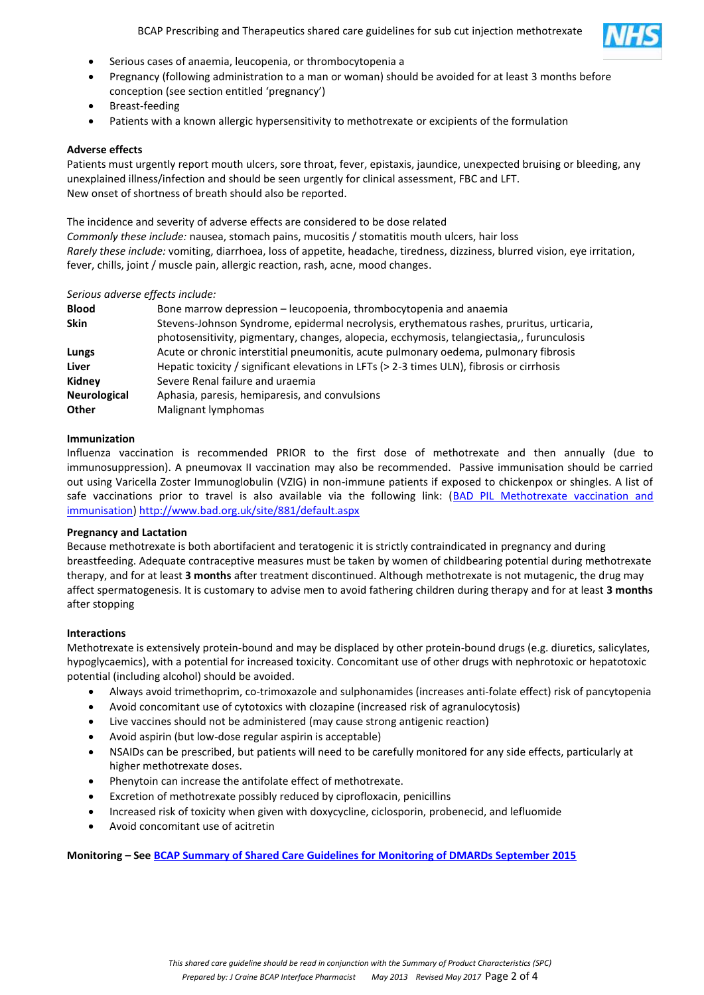

- Serious cases of anaemia, leucopenia, or thrombocytopenia a
- Pregnancy (following administration to a man or woman) should be avoided for at least 3 months before conception (see section entitled 'pregnancy')
- Breast-feeding
- Patients with a known allergic hypersensitivity to methotrexate or excipients of the formulation

#### **Adverse effects**

Patients must urgently report mouth ulcers, sore throat, fever, epistaxis, jaundice, unexpected bruising or bleeding, any unexplained illness/infection and should be seen urgently for clinical assessment, FBC and LFT. New onset of shortness of breath should also be reported.

The incidence and severity of adverse effects are considered to be dose related *Commonly these include:* nausea, stomach pains, mucositis / stomatitis mouth ulcers, hair loss *Rarely these include:* vomiting, diarrhoea, loss of appetite, headache, tiredness, dizziness, blurred vision, eye irritation, fever, chills, joint / muscle pain, allergic reaction, rash, acne, mood changes.

#### *Serious adverse effects include:*

| <b>Blood</b>        | Bone marrow depression – leucopoenia, thrombocytopenia and anaemia                                                                                                                      |
|---------------------|-----------------------------------------------------------------------------------------------------------------------------------------------------------------------------------------|
| <b>Skin</b>         | Stevens-Johnson Syndrome, epidermal necrolysis, erythematous rashes, pruritus, urticaria,<br>photosensitivity, pigmentary, changes, alopecia, ecchymosis, telangiectasia,, furunculosis |
| Lungs               | Acute or chronic interstitial pneumonitis, acute pulmonary oedema, pulmonary fibrosis                                                                                                   |
| Liver               | Hepatic toxicity / significant elevations in LFTs (> 2-3 times ULN), fibrosis or cirrhosis                                                                                              |
| Kidney              | Severe Renal failure and uraemia                                                                                                                                                        |
| <b>Neurological</b> | Aphasia, paresis, hemiparesis, and convulsions                                                                                                                                          |
| Other               | Malignant lymphomas                                                                                                                                                                     |

#### **Immunization**

Influenza vaccination is recommended PRIOR to the first dose of methotrexate and then annually (due to immunosuppression). A pneumovax II vaccination may also be recommended. Passive immunisation should be carried out using Varicella Zoster Immunoglobulin (VZIG) in non-immune patients if exposed to chickenpox or shingles. A list of safe vaccinations prior to travel is also available via the following link: (BAD PIL Methotrexate vaccination and [immunisation\) http://www.bad.org.uk/site/881/default.aspx](http://www.bad.org.uk/site/881/default.aspx)

#### **Pregnancy and Lactation**

Because methotrexate is both abortifacient and teratogenic it is strictly contraindicated in pregnancy and during breastfeeding. Adequate contraceptive measures must be taken by women of childbearing potential during methotrexate therapy, and for at least **3 months** after treatment discontinued. Although methotrexate is not mutagenic, the drug may affect spermatogenesis. It is customary to advise men to avoid fathering children during therapy and for at least **3 months**  after stopping

#### **Interactions**

Methotrexate is extensively protein-bound and may be displaced by other protein-bound drugs (e.g. diuretics, salicylates, hypoglycaemics), with a potential for increased toxicity. Concomitant use of other drugs with nephrotoxic or hepatotoxic potential (including alcohol) should be avoided.

- Always avoid trimethoprim, co-trimoxazole and sulphonamides (increases anti-folate effect) risk of pancytopenia
- Avoid concomitant use of cytotoxics with clozapine (increased risk of agranulocytosis)
- Live vaccines should not be administered (may cause strong antigenic reaction)
- Avoid aspirin (but low-dose regular aspirin is acceptable)
- NSAIDs can be prescribed, but patients will need to be carefully monitored for any side effects, particularly at higher methotrexate doses.
- Phenytoin can increase the antifolate effect of methotrexate.
- Excretion of methotrexate possibly reduced by ciprofloxacin, penicillins
- Increased risk of toxicity when given with doxycycline, ciclosporin, probenecid, and lefluomide
- Avoid concomitant use of acitretin

**Monitoring – See [BCAP Summary of Shared Care Guidelines for Monitoring of DMARDs September 2015](http://www.bcapformulary.nhs.uk/includes/documents/BCAP-Final-Shared-Care_DMARD_monitoring_guidelines-30th-Sept-2015.pdf)**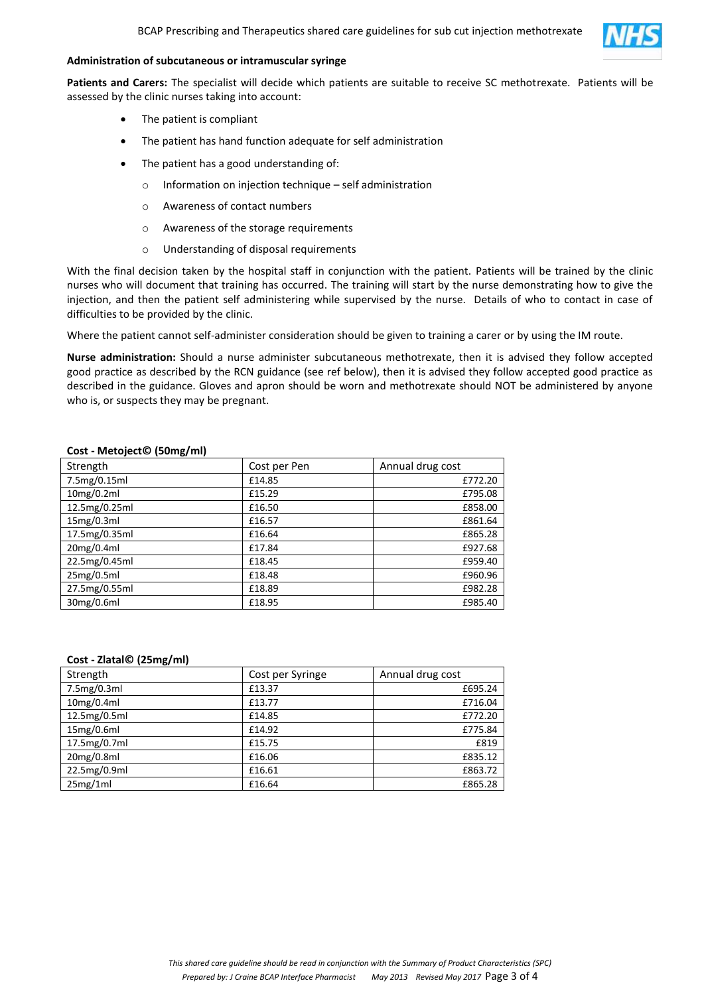

#### **Administration of subcutaneous or intramuscular syringe**

**Patients and Carers:** The specialist will decide which patients are suitable to receive SC methotrexate. Patients will be assessed by the clinic nurses taking into account:

- The patient is compliant
- The patient has hand function adequate for self administration
- The patient has a good understanding of:
	- o Information on injection technique self administration
	- o Awareness of contact numbers
	- o Awareness of the storage requirements
	- o Understanding of disposal requirements

With the final decision taken by the hospital staff in conjunction with the patient. Patients will be trained by the clinic nurses who will document that training has occurred. The training will start by the nurse demonstrating how to give the injection, and then the patient self administering while supervised by the nurse. Details of who to contact in case of difficulties to be provided by the clinic.

Where the patient cannot self-administer consideration should be given to training a carer or by using the IM route.

**Nurse administration:** Should a nurse administer subcutaneous methotrexate, then it is advised they follow accepted good practice as described by the RCN guidance (see ref below), then it is advised they follow accepted good practice as described in the guidance. Gloves and apron should be worn and methotrexate should NOT be administered by anyone who is, or suspects they may be pregnant.

| Strength      | Cost per Pen | Annual drug cost |
|---------------|--------------|------------------|
| 7.5mg/0.15ml  | £14.85       | £772.20          |
| 10mg/0.2ml    | £15.29       | £795.08          |
| 12.5mg/0.25ml | £16.50       | £858.00          |
| 15mg/0.3ml    | £16.57       | £861.64          |
| 17.5mg/0.35ml | £16.64       | £865.28          |
| 20mg/0.4ml    | £17.84       | £927.68          |
| 22.5mg/0.45ml | £18.45       | £959.40          |
| 25mg/0.5ml    | £18.48       | £960.96          |
| 27.5mg/0.55ml | £18.89       | £982.28          |
| 30mg/0.6ml    | £18.95       | £985.40          |

#### **Cost - Metoject© (50mg/ml)**

#### **Cost - Zlatal© (25mg/ml)**

| Strength     | Cost per Syringe | Annual drug cost |  |
|--------------|------------------|------------------|--|
| 7.5mg/0.3ml  | £13.37           | £695.24          |  |
| 10mg/0.4ml   | £13.77           | £716.04          |  |
| 12.5mg/0.5ml | £14.85           | £772.20          |  |
| 15mg/0.6ml   | £14.92           | £775.84          |  |
| 17.5mg/0.7ml | £15.75           | £819             |  |
| 20mg/0.8ml   | £16.06           | £835.12          |  |
| 22.5mg/0.9ml | £16.61           | £863.72          |  |
| 25mg/1ml     | £16.64           | £865.28          |  |